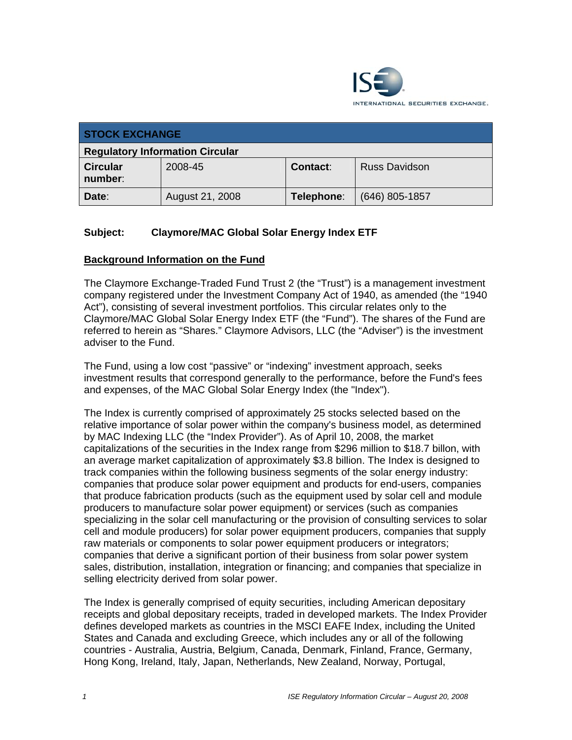

| <b>STOCK EXCHANGE</b>                  |                 |                 |                      |  |  |
|----------------------------------------|-----------------|-----------------|----------------------|--|--|
| <b>Regulatory Information Circular</b> |                 |                 |                      |  |  |
| <b>Circular</b><br>number:             | 2008-45         | <b>Contact:</b> | <b>Russ Davidson</b> |  |  |
| Date:                                  | August 21, 2008 | Telephone:      | $(646)$ 805-1857     |  |  |

# **Subject: Claymore/MAC Global Solar Energy Index ETF**

### **Background Information on the Fund**

The Claymore Exchange-Traded Fund Trust 2 (the "Trust") is a management investment company registered under the Investment Company Act of 1940, as amended (the "1940 Act"), consisting of several investment portfolios. This circular relates only to the Claymore/MAC Global Solar Energy Index ETF (the "Fund"). The shares of the Fund are referred to herein as "Shares." Claymore Advisors, LLC (the "Adviser") is the investment adviser to the Fund.

The Fund, using a low cost "passive" or "indexing" investment approach, seeks investment results that correspond generally to the performance, before the Fund's fees and expenses, of the MAC Global Solar Energy Index (the "Index").

The Index is currently comprised of approximately 25 stocks selected based on the relative importance of solar power within the company's business model, as determined by MAC Indexing LLC (the "Index Provider"). As of April 10, 2008, the market capitalizations of the securities in the Index range from \$296 million to \$18.7 billon, with an average market capitalization of approximately \$3.8 billion. The Index is designed to track companies within the following business segments of the solar energy industry: companies that produce solar power equipment and products for end-users, companies that produce fabrication products (such as the equipment used by solar cell and module producers to manufacture solar power equipment) or services (such as companies specializing in the solar cell manufacturing or the provision of consulting services to solar cell and module producers) for solar power equipment producers, companies that supply raw materials or components to solar power equipment producers or integrators; companies that derive a significant portion of their business from solar power system sales, distribution, installation, integration or financing; and companies that specialize in selling electricity derived from solar power.

The Index is generally comprised of equity securities, including American depositary receipts and global depositary receipts, traded in developed markets. The Index Provider defines developed markets as countries in the MSCI EAFE Index, including the United States and Canada and excluding Greece, which includes any or all of the following countries - Australia, Austria, Belgium, Canada, Denmark, Finland, France, Germany, Hong Kong, Ireland, Italy, Japan, Netherlands, New Zealand, Norway, Portugal,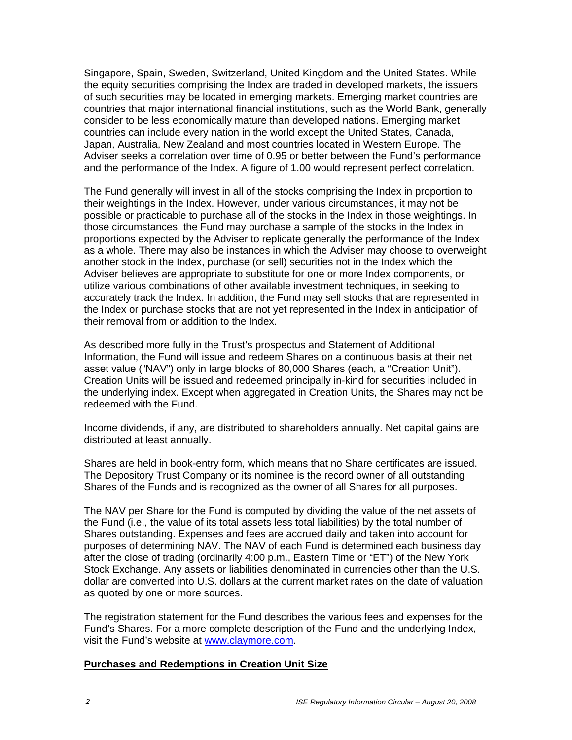Singapore, Spain, Sweden, Switzerland, United Kingdom and the United States. While the equity securities comprising the Index are traded in developed markets, the issuers of such securities may be located in emerging markets. Emerging market countries are countries that major international financial institutions, such as the World Bank, generally consider to be less economically mature than developed nations. Emerging market countries can include every nation in the world except the United States, Canada, Japan, Australia, New Zealand and most countries located in Western Europe. The Adviser seeks a correlation over time of 0.95 or better between the Fund's performance and the performance of the Index. A figure of 1.00 would represent perfect correlation.

The Fund generally will invest in all of the stocks comprising the Index in proportion to their weightings in the Index. However, under various circumstances, it may not be possible or practicable to purchase all of the stocks in the Index in those weightings. In those circumstances, the Fund may purchase a sample of the stocks in the Index in proportions expected by the Adviser to replicate generally the performance of the Index as a whole. There may also be instances in which the Adviser may choose to overweight another stock in the Index, purchase (or sell) securities not in the Index which the Adviser believes are appropriate to substitute for one or more Index components, or utilize various combinations of other available investment techniques, in seeking to accurately track the Index. In addition, the Fund may sell stocks that are represented in the Index or purchase stocks that are not yet represented in the Index in anticipation of their removal from or addition to the Index.

As described more fully in the Trust's prospectus and Statement of Additional Information, the Fund will issue and redeem Shares on a continuous basis at their net asset value ("NAV") only in large blocks of 80,000 Shares (each, a "Creation Unit"). Creation Units will be issued and redeemed principally in-kind for securities included in the underlying index. Except when aggregated in Creation Units, the Shares may not be redeemed with the Fund.

Income dividends, if any, are distributed to shareholders annually. Net capital gains are distributed at least annually.

Shares are held in book-entry form, which means that no Share certificates are issued. The Depository Trust Company or its nominee is the record owner of all outstanding Shares of the Funds and is recognized as the owner of all Shares for all purposes.

The NAV per Share for the Fund is computed by dividing the value of the net assets of the Fund (i.e., the value of its total assets less total liabilities) by the total number of Shares outstanding. Expenses and fees are accrued daily and taken into account for purposes of determining NAV. The NAV of each Fund is determined each business day after the close of trading (ordinarily 4:00 p.m., Eastern Time or "ET") of the New York Stock Exchange. Any assets or liabilities denominated in currencies other than the U.S. dollar are converted into U.S. dollars at the current market rates on the date of valuation as quoted by one or more sources.

The registration statement for the Fund describes the various fees and expenses for the Fund's Shares. For a more complete description of the Fund and the underlying Index, visit the Fund's website at www.claymore.com.

### **Purchases and Redemptions in Creation Unit Size**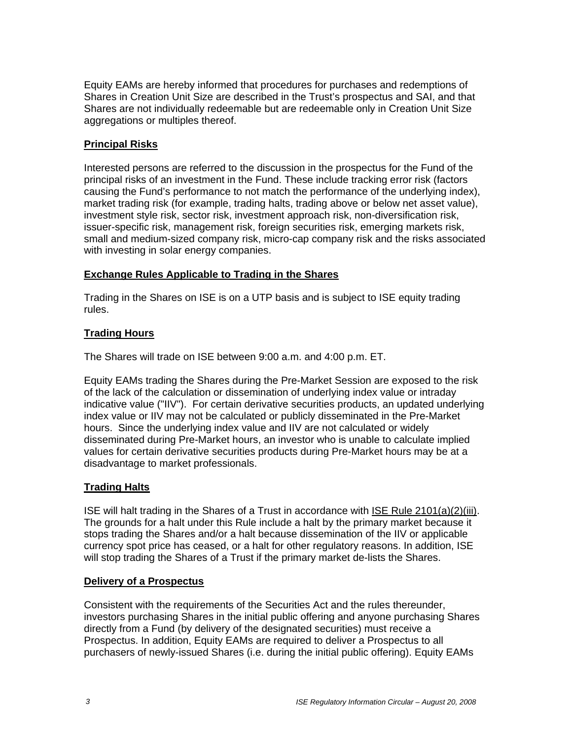Equity EAMs are hereby informed that procedures for purchases and redemptions of Shares in Creation Unit Size are described in the Trust's prospectus and SAI, and that Shares are not individually redeemable but are redeemable only in Creation Unit Size aggregations or multiples thereof.

## **Principal Risks**

Interested persons are referred to the discussion in the prospectus for the Fund of the principal risks of an investment in the Fund. These include tracking error risk (factors causing the Fund's performance to not match the performance of the underlying index), market trading risk (for example, trading halts, trading above or below net asset value), investment style risk, sector risk, investment approach risk, non-diversification risk, issuer-specific risk, management risk, foreign securities risk, emerging markets risk, small and medium-sized company risk, micro-cap company risk and the risks associated with investing in solar energy companies.

# **Exchange Rules Applicable to Trading in the Shares**

Trading in the Shares on ISE is on a UTP basis and is subject to ISE equity trading rules.

# **Trading Hours**

The Shares will trade on ISE between 9:00 a.m. and 4:00 p.m. ET.

Equity EAMs trading the Shares during the Pre-Market Session are exposed to the risk of the lack of the calculation or dissemination of underlying index value or intraday indicative value ("IIV"). For certain derivative securities products, an updated underlying index value or IIV may not be calculated or publicly disseminated in the Pre-Market hours. Since the underlying index value and IIV are not calculated or widely disseminated during Pre-Market hours, an investor who is unable to calculate implied values for certain derivative securities products during Pre-Market hours may be at a disadvantage to market professionals.

### **Trading Halts**

ISE will halt trading in the Shares of a Trust in accordance with ISE Rule 2101(a)(2)(iii). The grounds for a halt under this Rule include a halt by the primary market because it stops trading the Shares and/or a halt because dissemination of the IIV or applicable currency spot price has ceased, or a halt for other regulatory reasons. In addition, ISE will stop trading the Shares of a Trust if the primary market de-lists the Shares.

### **Delivery of a Prospectus**

Consistent with the requirements of the Securities Act and the rules thereunder, investors purchasing Shares in the initial public offering and anyone purchasing Shares directly from a Fund (by delivery of the designated securities) must receive a Prospectus. In addition, Equity EAMs are required to deliver a Prospectus to all purchasers of newly-issued Shares (i.e. during the initial public offering). Equity EAMs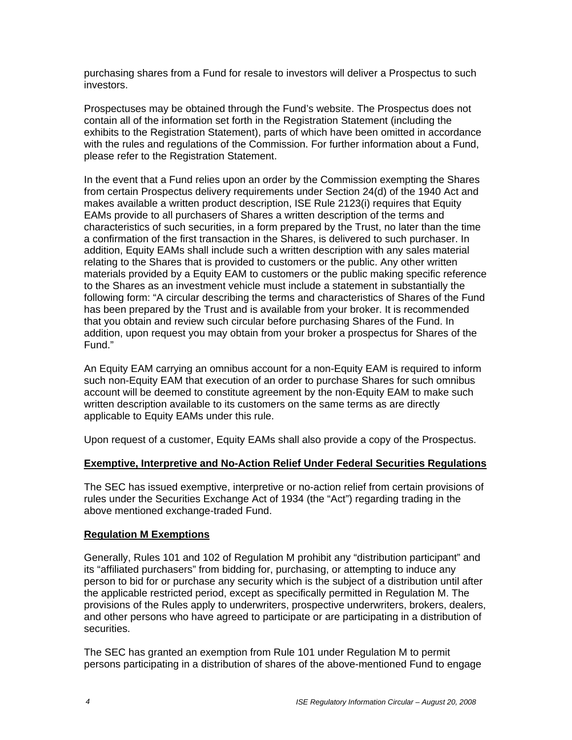purchasing shares from a Fund for resale to investors will deliver a Prospectus to such investors.

Prospectuses may be obtained through the Fund's website. The Prospectus does not contain all of the information set forth in the Registration Statement (including the exhibits to the Registration Statement), parts of which have been omitted in accordance with the rules and regulations of the Commission. For further information about a Fund, please refer to the Registration Statement.

In the event that a Fund relies upon an order by the Commission exempting the Shares from certain Prospectus delivery requirements under Section 24(d) of the 1940 Act and makes available a written product description, ISE Rule 2123(i) requires that Equity EAMs provide to all purchasers of Shares a written description of the terms and characteristics of such securities, in a form prepared by the Trust, no later than the time a confirmation of the first transaction in the Shares, is delivered to such purchaser. In addition, Equity EAMs shall include such a written description with any sales material relating to the Shares that is provided to customers or the public. Any other written materials provided by a Equity EAM to customers or the public making specific reference to the Shares as an investment vehicle must include a statement in substantially the following form: "A circular describing the terms and characteristics of Shares of the Fund has been prepared by the Trust and is available from your broker. It is recommended that you obtain and review such circular before purchasing Shares of the Fund. In addition, upon request you may obtain from your broker a prospectus for Shares of the Fund."

An Equity EAM carrying an omnibus account for a non-Equity EAM is required to inform such non-Equity EAM that execution of an order to purchase Shares for such omnibus account will be deemed to constitute agreement by the non-Equity EAM to make such written description available to its customers on the same terms as are directly applicable to Equity EAMs under this rule.

Upon request of a customer, Equity EAMs shall also provide a copy of the Prospectus.

### **Exemptive, Interpretive and No-Action Relief Under Federal Securities Regulations**

The SEC has issued exemptive, interpretive or no-action relief from certain provisions of rules under the Securities Exchange Act of 1934 (the "Act") regarding trading in the above mentioned exchange-traded Fund.

### **Regulation M Exemptions**

Generally, Rules 101 and 102 of Regulation M prohibit any "distribution participant" and its "affiliated purchasers" from bidding for, purchasing, or attempting to induce any person to bid for or purchase any security which is the subject of a distribution until after the applicable restricted period, except as specifically permitted in Regulation M. The provisions of the Rules apply to underwriters, prospective underwriters, brokers, dealers, and other persons who have agreed to participate or are participating in a distribution of securities.

The SEC has granted an exemption from Rule 101 under Regulation M to permit persons participating in a distribution of shares of the above-mentioned Fund to engage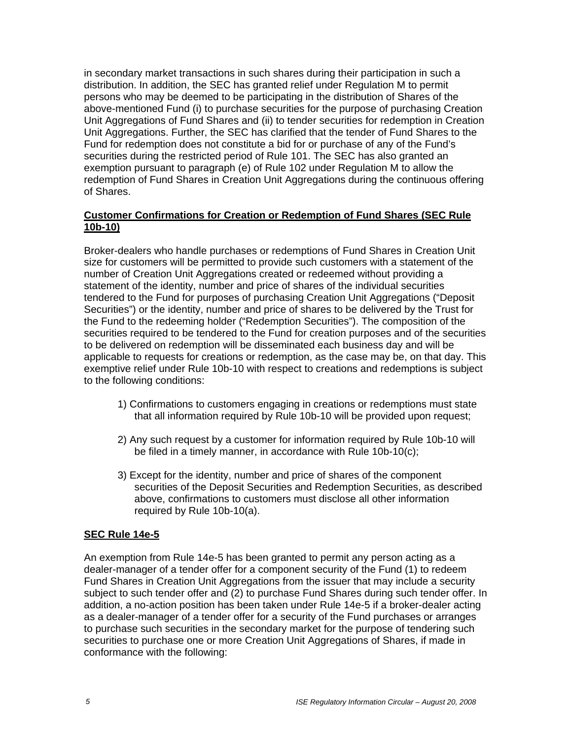in secondary market transactions in such shares during their participation in such a distribution. In addition, the SEC has granted relief under Regulation M to permit persons who may be deemed to be participating in the distribution of Shares of the above-mentioned Fund (i) to purchase securities for the purpose of purchasing Creation Unit Aggregations of Fund Shares and (ii) to tender securities for redemption in Creation Unit Aggregations. Further, the SEC has clarified that the tender of Fund Shares to the Fund for redemption does not constitute a bid for or purchase of any of the Fund's securities during the restricted period of Rule 101. The SEC has also granted an exemption pursuant to paragraph (e) of Rule 102 under Regulation M to allow the redemption of Fund Shares in Creation Unit Aggregations during the continuous offering of Shares.

### **Customer Confirmations for Creation or Redemption of Fund Shares (SEC Rule 10b-10)**

Broker-dealers who handle purchases or redemptions of Fund Shares in Creation Unit size for customers will be permitted to provide such customers with a statement of the number of Creation Unit Aggregations created or redeemed without providing a statement of the identity, number and price of shares of the individual securities tendered to the Fund for purposes of purchasing Creation Unit Aggregations ("Deposit Securities") or the identity, number and price of shares to be delivered by the Trust for the Fund to the redeeming holder ("Redemption Securities"). The composition of the securities required to be tendered to the Fund for creation purposes and of the securities to be delivered on redemption will be disseminated each business day and will be applicable to requests for creations or redemption, as the case may be, on that day. This exemptive relief under Rule 10b-10 with respect to creations and redemptions is subject to the following conditions:

- 1) Confirmations to customers engaging in creations or redemptions must state that all information required by Rule 10b-10 will be provided upon request;
- 2) Any such request by a customer for information required by Rule 10b-10 will be filed in a timely manner, in accordance with Rule 10b-10(c);
- 3) Except for the identity, number and price of shares of the component securities of the Deposit Securities and Redemption Securities, as described above, confirmations to customers must disclose all other information required by Rule 10b-10(a).

### **SEC Rule 14e-5**

An exemption from Rule 14e-5 has been granted to permit any person acting as a dealer-manager of a tender offer for a component security of the Fund (1) to redeem Fund Shares in Creation Unit Aggregations from the issuer that may include a security subject to such tender offer and (2) to purchase Fund Shares during such tender offer. In addition, a no-action position has been taken under Rule 14e-5 if a broker-dealer acting as a dealer-manager of a tender offer for a security of the Fund purchases or arranges to purchase such securities in the secondary market for the purpose of tendering such securities to purchase one or more Creation Unit Aggregations of Shares, if made in conformance with the following: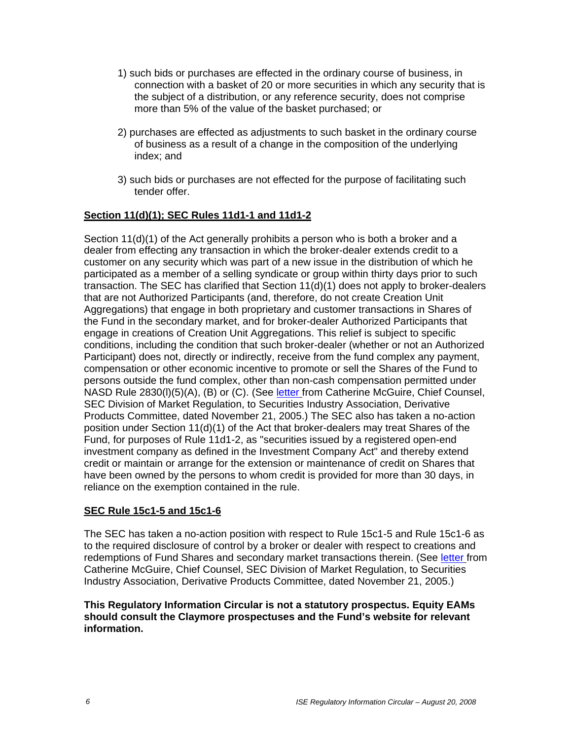- 1) such bids or purchases are effected in the ordinary course of business, in connection with a basket of 20 or more securities in which any security that is the subject of a distribution, or any reference security, does not comprise more than 5% of the value of the basket purchased; or
- 2) purchases are effected as adjustments to such basket in the ordinary course of business as a result of a change in the composition of the underlying index; and
- 3) such bids or purchases are not effected for the purpose of facilitating such tender offer.

# **Section 11(d)(1); SEC Rules 11d1-1 and 11d1-2**

Section 11(d)(1) of the Act generally prohibits a person who is both a broker and a dealer from effecting any transaction in which the broker-dealer extends credit to a customer on any security which was part of a new issue in the distribution of which he participated as a member of a selling syndicate or group within thirty days prior to such transaction. The SEC has clarified that Section 11(d)(1) does not apply to broker-dealers that are not Authorized Participants (and, therefore, do not create Creation Unit Aggregations) that engage in both proprietary and customer transactions in Shares of the Fund in the secondary market, and for broker-dealer Authorized Participants that engage in creations of Creation Unit Aggregations. This relief is subject to specific conditions, including the condition that such broker-dealer (whether or not an Authorized Participant) does not, directly or indirectly, receive from the fund complex any payment, compensation or other economic incentive to promote or sell the Shares of the Fund to persons outside the fund complex, other than non-cash compensation permitted under NASD Rule 2830(I)(5)(A), (B) or (C). (See letter from Catherine McGuire, Chief Counsel, SEC Division of Market Regulation, to Securities Industry Association, Derivative Products Committee, dated November 21, 2005.) The SEC also has taken a no-action position under Section 11(d)(1) of the Act that broker-dealers may treat Shares of the Fund, for purposes of Rule 11d1-2, as "securities issued by a registered open-end investment company as defined in the Investment Company Act" and thereby extend credit or maintain or arrange for the extension or maintenance of credit on Shares that have been owned by the persons to whom credit is provided for more than 30 days, in reliance on the exemption contained in the rule.

### **SEC Rule 15c1-5 and 15c1-6**

The SEC has taken a no-action position with respect to Rule 15c1-5 and Rule 15c1-6 as to the required disclosure of control by a broker or dealer with respect to creations and redemptions of Fund Shares and secondary market transactions therein. (See letter from Catherine McGuire, Chief Counsel, SEC Division of Market Regulation, to Securities Industry Association, Derivative Products Committee, dated November 21, 2005.)

#### **This Regulatory Information Circular is not a statutory prospectus. Equity EAMs should consult the Claymore prospectuses and the Fund's website for relevant information.**